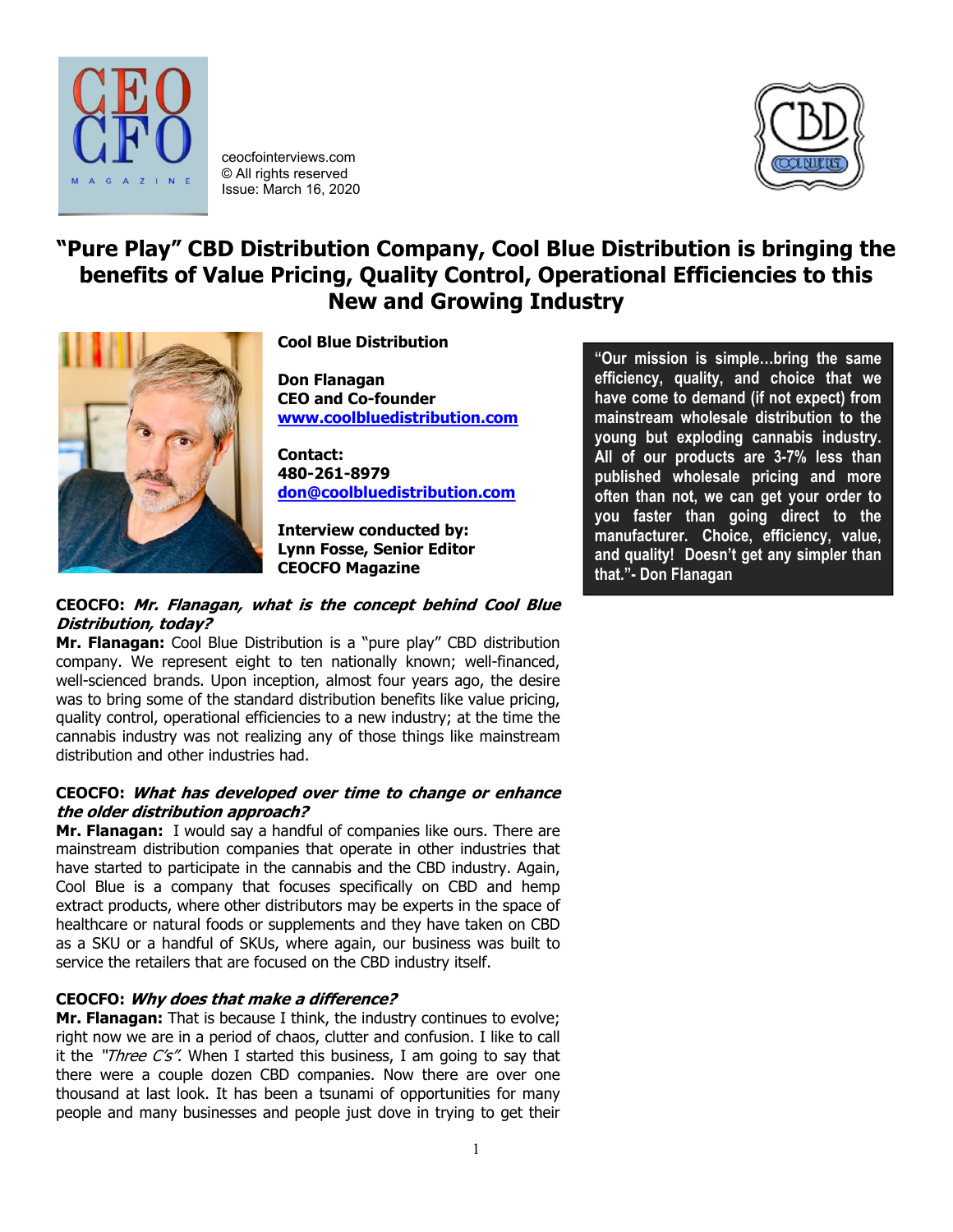

ceocfointerviews.com © All rights reserved Issue: March 16, 2020



# **"Pure Play" CBD Distribution Company, Cool Blue Distribution is bringing the benefits of Value Pricing, Quality Control, Operational Efficiencies to this New and Growing Industry**



**Cool Blue Distribution**

**Don Flanagan CEO and Co-founder [www.coolbluedistribution.com](http://www.coolbluedistribution.com/)**

**Contact: 480-261-8979 [don@coolbluedistribution.com](mailto:don@coolbluedistribution.com)**

**Interview conducted by: Lynn Fosse, Senior Editor CEOCFO Magazine**

# **CEOCFO: Mr. Flanagan, what is the concept behind Cool Blue Distribution, today?**

**Mr. Flanagan:** Cool Blue Distribution is a "pure play" CBD distribution company. We represent eight to ten nationally known; well-financed, well-scienced brands. Upon inception, almost four years ago, the desire was to bring some of the standard distribution benefits like value pricing, quality control, operational efficiencies to a new industry; at the time the cannabis industry was not realizing any of those things like mainstream distribution and other industries had.

# **CEOCFO: What has developed over time to change or enhance the older distribution approach?**

**Mr. Flanagan:** I would say a handful of companies like ours. There are mainstream distribution companies that operate in other industries that have started to participate in the cannabis and the CBD industry. Again, Cool Blue is a company that focuses specifically on CBD and hemp extract products, where other distributors may be experts in the space of healthcare or natural foods or supplements and they have taken on CBD as a SKU or a handful of SKUs, where again, our business was built to service the retailers that are focused on the CBD industry itself.

# **CEOCFO: Why does that make a difference?**

**Mr. Flanagan:** That is because I think, the industry continues to evolve; right now we are in a period of chaos, clutter and confusion. I like to call it the " $Three C's''$ . When I started this business, I am going to say that there were a couple dozen CBD companies. Now there are over one thousand at last look. It has been a tsunami of opportunities for many people and many businesses and people just dove in trying to get their

**"Our mission is simple…bring the same efficiency, quality, and choice that we have come to demand (if not expect) from mainstream wholesale distribution to the young but exploding cannabis industry. All of our products are 3-7% less than published wholesale pricing and more often than not, we can get your order to you faster than going direct to the manufacturer. Choice, efficiency, value, and quality! Doesn't get any simpler than that."- Don Flanagan**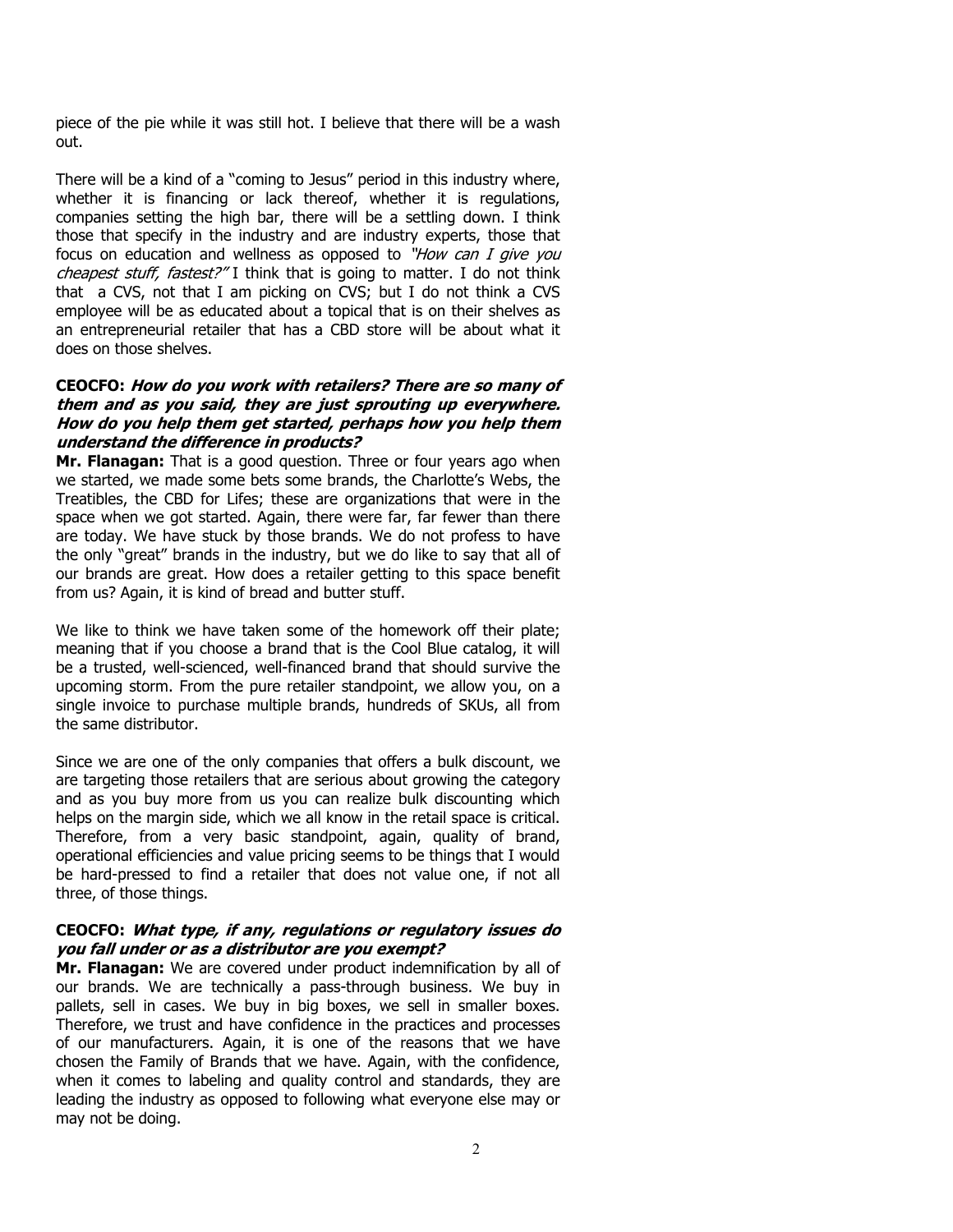piece of the pie while it was still hot. I believe that there will be a wash out.

There will be a kind of a "coming to Jesus" period in this industry where, whether it is financing or lack thereof, whether it is regulations, companies setting the high bar, there will be a settling down. I think those that specify in the industry and are industry experts, those that focus on education and wellness as opposed to "How can I give you cheapest stuff, fastest?" I think that is going to matter. I do not think that a CVS, not that I am picking on CVS; but I do not think a CVS employee will be as educated about a topical that is on their shelves as an entrepreneurial retailer that has a CBD store will be about what it does on those shelves.

## **CEOCFO: How do you work with retailers? There are so many of them and as you said, they are just sprouting up everywhere. How do you help them get started, perhaps how you help them understand the difference in products?**

**Mr. Flanagan:** That is a good question. Three or four years ago when we started, we made some bets some brands, the Charlotte's Webs, the Treatibles, the CBD for Lifes; these are organizations that were in the space when we got started. Again, there were far, far fewer than there are today. We have stuck by those brands. We do not profess to have the only "great" brands in the industry, but we do like to say that all of our brands are great. How does a retailer getting to this space benefit from us? Again, it is kind of bread and butter stuff.

We like to think we have taken some of the homework off their plate; meaning that if you choose a brand that is the Cool Blue catalog, it will be a trusted, well-scienced, well-financed brand that should survive the upcoming storm. From the pure retailer standpoint, we allow you, on a single invoice to purchase multiple brands, hundreds of SKUs, all from the same distributor.

Since we are one of the only companies that offers a bulk discount, we are targeting those retailers that are serious about growing the category and as you buy more from us you can realize bulk discounting which helps on the margin side, which we all know in the retail space is critical. Therefore, from a very basic standpoint, again, quality of brand, operational efficiencies and value pricing seems to be things that I would be hard-pressed to find a retailer that does not value one, if not all three, of those things.

## **CEOCFO: What type, if any, regulations or regulatory issues do you fall under or as a distributor are you exempt?**

**Mr. Flanagan:** We are covered under product indemnification by all of our brands. We are technically a pass-through business. We buy in pallets, sell in cases. We buy in big boxes, we sell in smaller boxes. Therefore, we trust and have confidence in the practices and processes of our manufacturers. Again, it is one of the reasons that we have chosen the Family of Brands that we have. Again, with the confidence, when it comes to labeling and quality control and standards, they are leading the industry as opposed to following what everyone else may or may not be doing.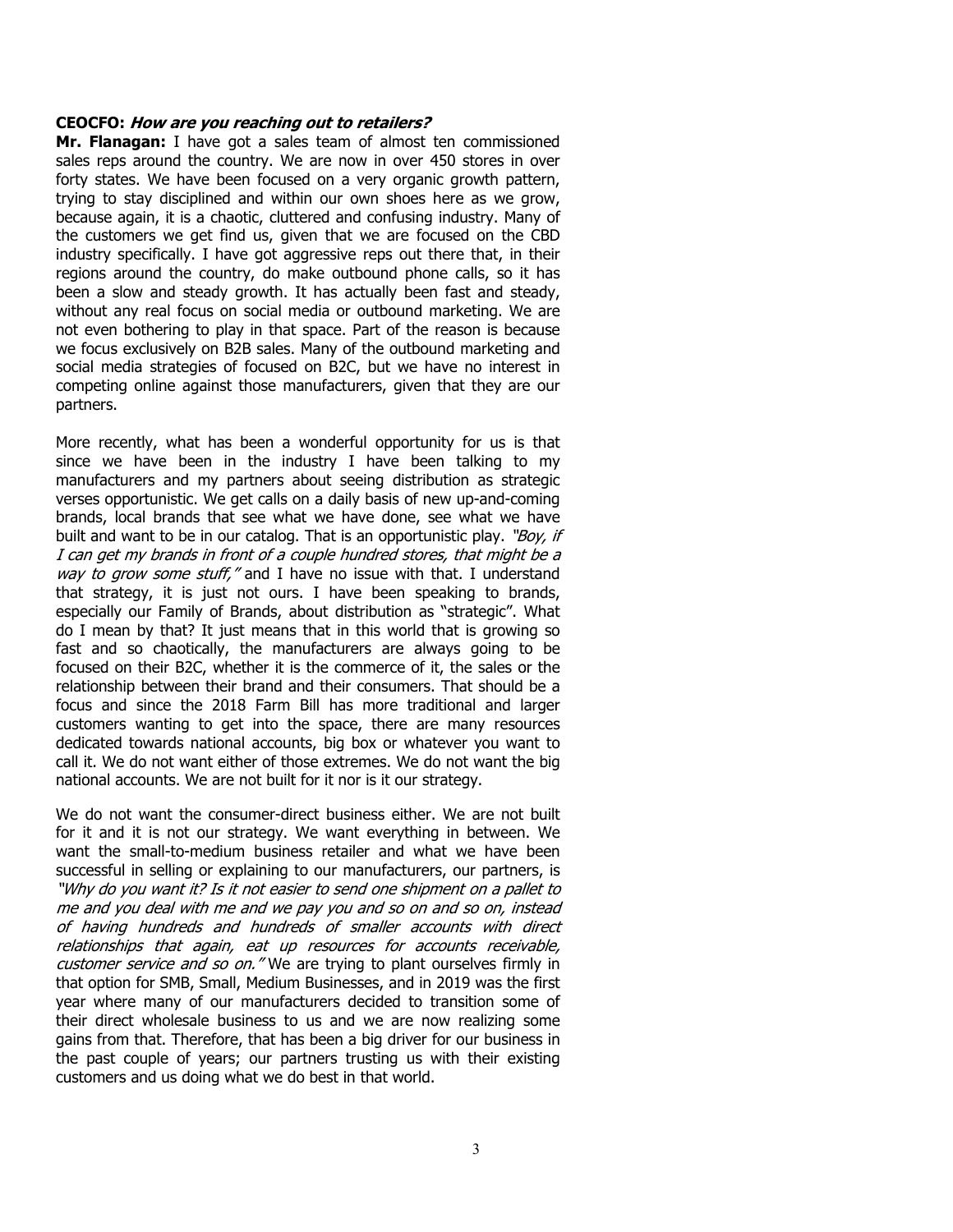#### **CEOCFO: How are you reaching out to retailers?**

**Mr. Flanagan:** I have got a sales team of almost ten commissioned sales reps around the country. We are now in over 450 stores in over forty states. We have been focused on a very organic growth pattern, trying to stay disciplined and within our own shoes here as we grow, because again, it is a chaotic, cluttered and confusing industry. Many of the customers we get find us, given that we are focused on the CBD industry specifically. I have got aggressive reps out there that, in their regions around the country, do make outbound phone calls, so it has been a slow and steady growth. It has actually been fast and steady, without any real focus on social media or outbound marketing. We are not even bothering to play in that space. Part of the reason is because we focus exclusively on B2B sales. Many of the outbound marketing and social media strategies of focused on B2C, but we have no interest in competing online against those manufacturers, given that they are our partners.

More recently, what has been a wonderful opportunity for us is that since we have been in the industry I have been talking to my manufacturers and my partners about seeing distribution as strategic verses opportunistic. We get calls on a daily basis of new up-and-coming brands, local brands that see what we have done, see what we have built and want to be in our catalog. That is an opportunistic play. "Boy, if I can get my brands in front of a couple hundred stores, that might be a way to grow some stuff," and I have no issue with that. I understand that strategy, it is just not ours. I have been speaking to brands, especially our Family of Brands, about distribution as "strategic". What do I mean by that? It just means that in this world that is growing so fast and so chaotically, the manufacturers are always going to be focused on their B2C, whether it is the commerce of it, the sales or the relationship between their brand and their consumers. That should be a focus and since the 2018 Farm Bill has more traditional and larger customers wanting to get into the space, there are many resources dedicated towards national accounts, big box or whatever you want to call it. We do not want either of those extremes. We do not want the big national accounts. We are not built for it nor is it our strategy.

We do not want the consumer-direct business either. We are not built for it and it is not our strategy. We want everything in between. We want the small-to-medium business retailer and what we have been successful in selling or explaining to our manufacturers, our partners, is "Why do you want it? Is it not easier to send one shipment on a pallet to me and you deal with me and we pay you and so on and so on, instead of having hundreds and hundreds of smaller accounts with direct relationships that again, eat up resources for accounts receivable, customer service and so on." We are trying to plant ourselves firmly in that option for SMB, Small, Medium Businesses, and in 2019 was the first year where many of our manufacturers decided to transition some of their direct wholesale business to us and we are now realizing some gains from that. Therefore, that has been a big driver for our business in the past couple of years; our partners trusting us with their existing customers and us doing what we do best in that world.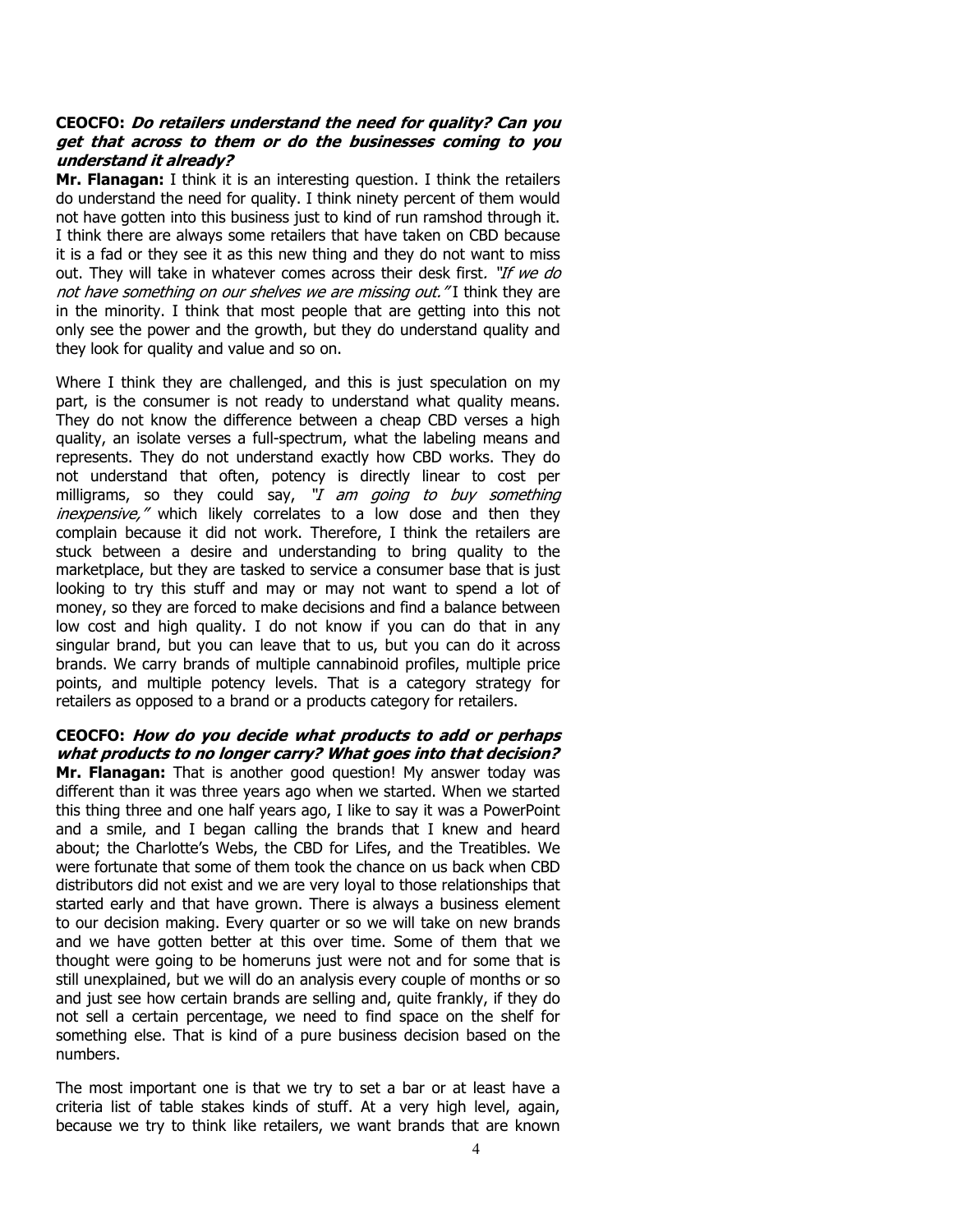## **CEOCFO: Do retailers understand the need for quality? Can you get that across to them or do the businesses coming to you understand it already?**

**Mr. Flanagan:** I think it is an interesting question. I think the retailers do understand the need for quality. I think ninety percent of them would not have gotten into this business just to kind of run ramshod through it. I think there are always some retailers that have taken on CBD because it is a fad or they see it as this new thing and they do not want to miss out. They will take in whatever comes across their desk first. "If we do not have something on our shelves we are missing out."I think they are in the minority. I think that most people that are getting into this not only see the power and the growth, but they do understand quality and they look for quality and value and so on.

Where I think they are challenged, and this is just speculation on my part, is the consumer is not ready to understand what quality means. They do not know the difference between a cheap CBD verses a high quality, an isolate verses a full-spectrum, what the labeling means and represents. They do not understand exactly how CBD works. They do not understand that often, potency is directly linear to cost per milligrams, so they could say, "I am going to buy something inexpensive," which likely correlates to a low dose and then they complain because it did not work. Therefore, I think the retailers are stuck between a desire and understanding to bring quality to the marketplace, but they are tasked to service a consumer base that is just looking to try this stuff and may or may not want to spend a lot of money, so they are forced to make decisions and find a balance between low cost and high quality. I do not know if you can do that in any singular brand, but you can leave that to us, but you can do it across brands. We carry brands of multiple cannabinoid profiles, multiple price points, and multiple potency levels. That is a category strategy for retailers as opposed to a brand or a products category for retailers.

# **CEOCFO: How do you decide what products to add or perhaps what products to no longer carry? What goes into that decision?**

**Mr. Flanagan:** That is another good question! My answer today was different than it was three years ago when we started. When we started this thing three and one half years ago, I like to say it was a PowerPoint and a smile, and I began calling the brands that I knew and heard about; the Charlotte's Webs, the CBD for Lifes, and the Treatibles. We were fortunate that some of them took the chance on us back when CBD distributors did not exist and we are very loyal to those relationships that started early and that have grown. There is always a business element to our decision making. Every quarter or so we will take on new brands and we have gotten better at this over time. Some of them that we thought were going to be homeruns just were not and for some that is still unexplained, but we will do an analysis every couple of months or so and just see how certain brands are selling and, quite frankly, if they do not sell a certain percentage, we need to find space on the shelf for something else. That is kind of a pure business decision based on the numbers.

The most important one is that we try to set a bar or at least have a criteria list of table stakes kinds of stuff. At a very high level, again, because we try to think like retailers, we want brands that are known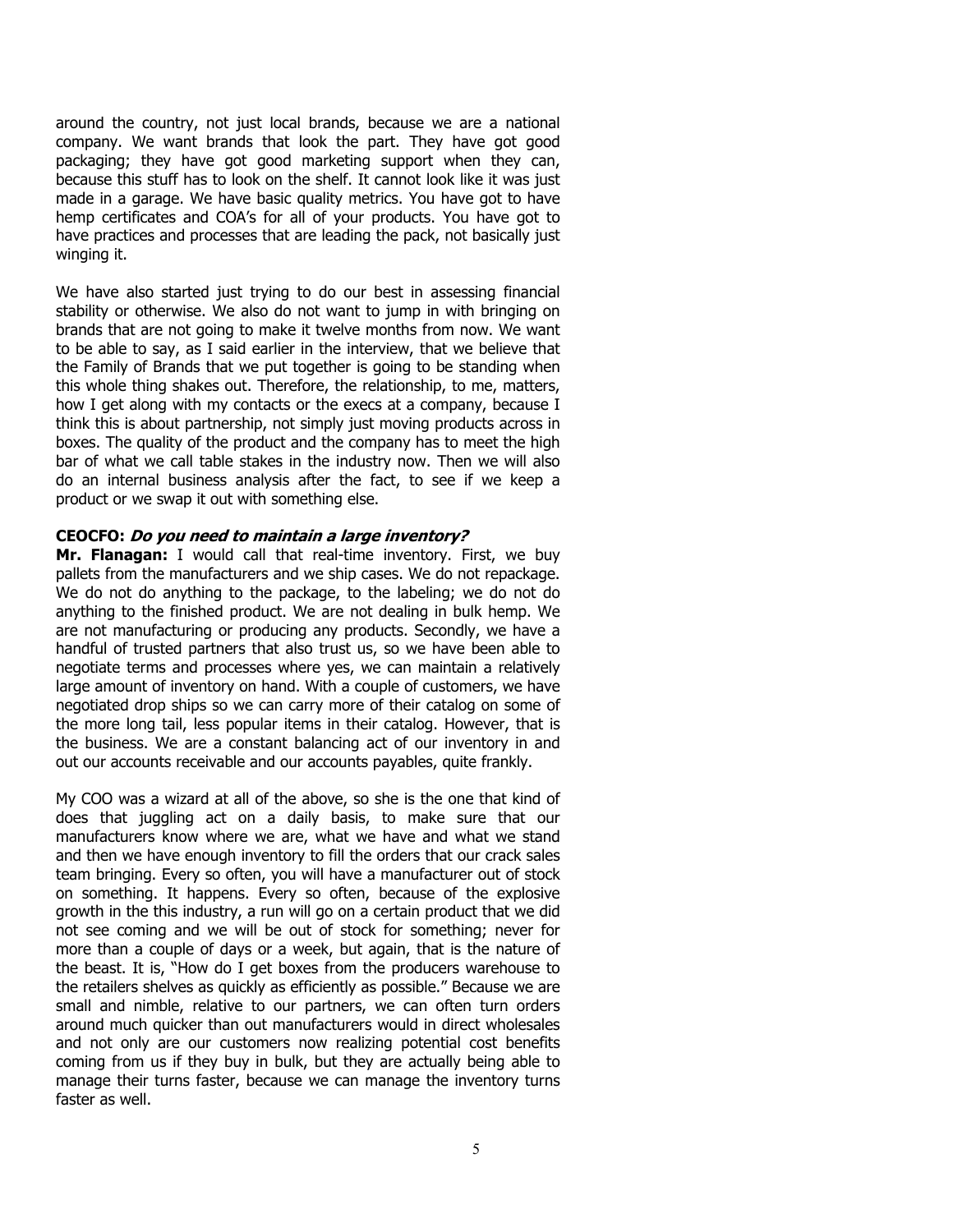around the country, not just local brands, because we are a national company. We want brands that look the part. They have got good packaging; they have got good marketing support when they can, because this stuff has to look on the shelf. It cannot look like it was just made in a garage. We have basic quality metrics. You have got to have hemp certificates and COA's for all of your products. You have got to have practices and processes that are leading the pack, not basically just winging it.

We have also started just trying to do our best in assessing financial stability or otherwise. We also do not want to jump in with bringing on brands that are not going to make it twelve months from now. We want to be able to say, as I said earlier in the interview, that we believe that the Family of Brands that we put together is going to be standing when this whole thing shakes out. Therefore, the relationship, to me, matters, how I get along with my contacts or the execs at a company, because I think this is about partnership, not simply just moving products across in boxes. The quality of the product and the company has to meet the high bar of what we call table stakes in the industry now. Then we will also do an internal business analysis after the fact, to see if we keep a product or we swap it out with something else.

## **CEOCFO: Do you need to maintain a large inventory?**

**Mr. Flanagan:** I would call that real-time inventory. First, we buy pallets from the manufacturers and we ship cases. We do not repackage. We do not do anything to the package, to the labeling; we do not do anything to the finished product. We are not dealing in bulk hemp. We are not manufacturing or producing any products. Secondly, we have a handful of trusted partners that also trust us, so we have been able to negotiate terms and processes where yes, we can maintain a relatively large amount of inventory on hand. With a couple of customers, we have negotiated drop ships so we can carry more of their catalog on some of the more long tail, less popular items in their catalog. However, that is the business. We are a constant balancing act of our inventory in and out our accounts receivable and our accounts payables, quite frankly.

My COO was a wizard at all of the above, so she is the one that kind of does that juggling act on a daily basis, to make sure that our manufacturers know where we are, what we have and what we stand and then we have enough inventory to fill the orders that our crack sales team bringing. Every so often, you will have a manufacturer out of stock on something. It happens. Every so often, because of the explosive growth in the this industry, a run will go on a certain product that we did not see coming and we will be out of stock for something; never for more than a couple of days or a week, but again, that is the nature of the beast. It is, "How do I get boxes from the producers warehouse to the retailers shelves as quickly as efficiently as possible." Because we are small and nimble, relative to our partners, we can often turn orders around much quicker than out manufacturers would in direct wholesales and not only are our customers now realizing potential cost benefits coming from us if they buy in bulk, but they are actually being able to manage their turns faster, because we can manage the inventory turns faster as well.